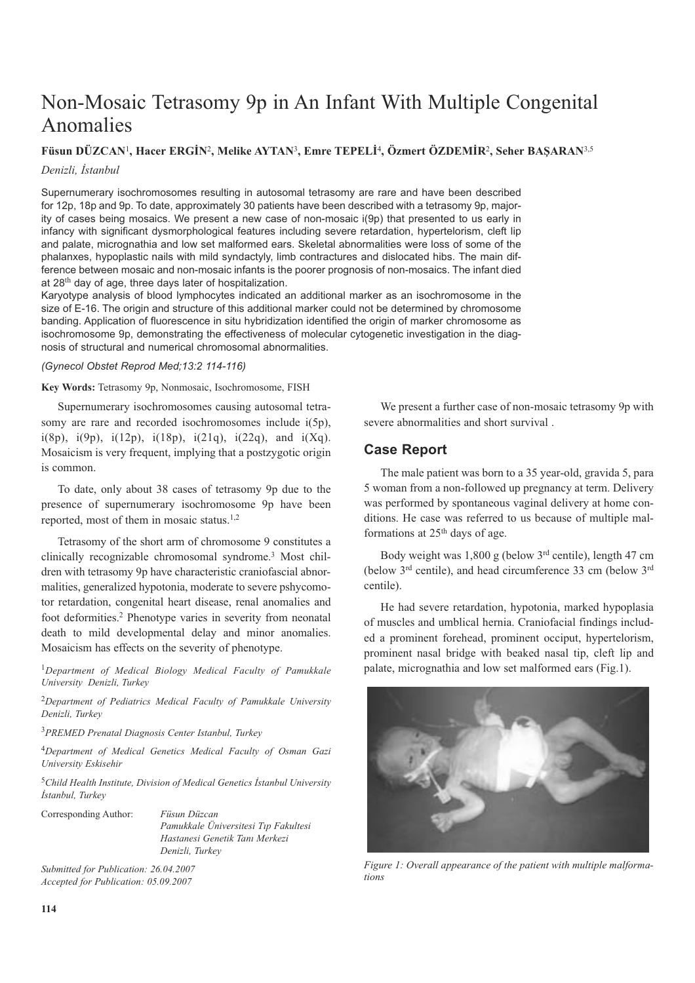# Non-Mosaic Tetrasomy 9p in An Infant With Multiple Congenital Anomalies

## **Füsun DÜZCAN**<sup>1</sup>**, Hacer ERGİN**<sup>2</sup>**, Melike AYTAN**<sup>3</sup>**, Emre TEPELİ**<sup>4</sup>**, Özmert ÖZDEMİR**<sup>2</sup>**, Seher BAŞARAN**3,5

*Denizli, İstanbul*

Supernumerary isochromosomes resulting in autosomal tetrasomy are rare and have been described for 12p, 18p and 9p. To date, approximately 30 patients have been described with a tetrasomy 9p, majority of cases being mosaics. We present a new case of non-mosaic i(9p) that presented to us early in infancy with significant dysmorphological features including severe retardation, hypertelorism, cleft lip and palate, micrognathia and low set malformed ears. Skeletal abnormalities were loss of some of the phalanxes, hypoplastic nails with mild syndactyly, limb contractures and dislocated hibs. The main difference between mosaic and non-mosaic infants is the poorer prognosis of non-mosaics. The infant died at 28th day of age, three days later of hospitalization.

Karyotype analysis of blood lymphocytes indicated an additional marker as an isochromosome in the size of E-16. The origin and structure of this additional marker could not be determined by chromosome banding. Application of fluorescence in situ hybridization identified the origin of marker chromosome as isochromosome 9p, demonstrating the effectiveness of molecular cytogenetic investigation in the diagnosis of structural and numerical chromosomal abnormalities.

#### *(Gynecol Obstet Reprod Med;13:2 114-116)*

**Key Words:** Tetrasomy 9p, Nonmosaic, Isochromosome, FISH

Supernumerary isochromosomes causing autosomal tetrasomy are rare and recorded isochromosomes include i(5p), i(8p),  $i(9p)$ ,  $i(12p)$ ,  $i(18p)$ ,  $i(21q)$ ,  $i(22q)$ , and  $i(Xq)$ . Mosaicism is very frequent, implying that a postzygotic origin is common.

To date, only about 38 cases of tetrasomy 9p due to the presence of supernumerary isochromosome 9p have been reported, most of them in mosaic status.<sup>1,2</sup>

Tetrasomy of the short arm of chromosome 9 constitutes a cli nically recognizable chromosomal syndrome.3 Most children with tetrasomy 9p have characteristic craniofascial abnor malities, generalized hypotonia, moderate to severe pshycomotor retardation, congenital heart disease, renal anomalies and foot deformities.2 Phenotype varies in severity from neonatal death to mild developmental delay and minor anomalies. Mosaicism has effects on the severity of phenotype.

<sup>1</sup>*Department of Medical Biology Medical Faculty of Pamukkale University Denizli, Turkey* 

<sup>2</sup>*Department of Pediatrics Medical Faculty of Pamukkale University Denizli, Turkey*

<sup>3</sup>*PREMED Prenatal Diagnosis Center Istanbul, Turkey*

<sup>4</sup>*Department of Medical Genetics Medical Faculty of Osman Gazi University Eskisehir* 

<sup>5</sup>*Child Health Institute, Division of Medical Genetics İstanbul University İstanbul, Turkey*

Corresponding Author: *Füsun Düzcan* 

*Pamukkale Üniversitesi Tıp Fakultesi Hastanesi Genetik Tanı Merkezi Denizli, Turkey*

*Submitted for Publication: 26.04.2007 Accepted for Publication: 05.09.2007*

We present a further case of non-mosaic tetrasomy 9p with severe abnormalities and short survival .

## **Case Report**

The male patient was born to a 35 year-old, gravida 5, para 5 woman from a non-followed up pregnancy at term. Delivery was performed by spontaneous vaginal delivery at home conditions. He case was referred to us because of multiple malformations at 25th days of age.

Body weight was 1,800 g (below 3rd centile), length 47 cm (below 3rd centile), and head circumference 33 cm (below 3rd centile).

He had severe retardation, hypotonia, marked hypoplasia of muscles and umblical hernia. Craniofacial findings included a prominent forehead, prominent occiput, hypertelorism, prominent nasal bridge with beaked nasal tip, cleft lip and palate, micrognathia and low set malformed ears (Fig.1).



*Figure 1: Overall appearance of the patient with multiple malformations*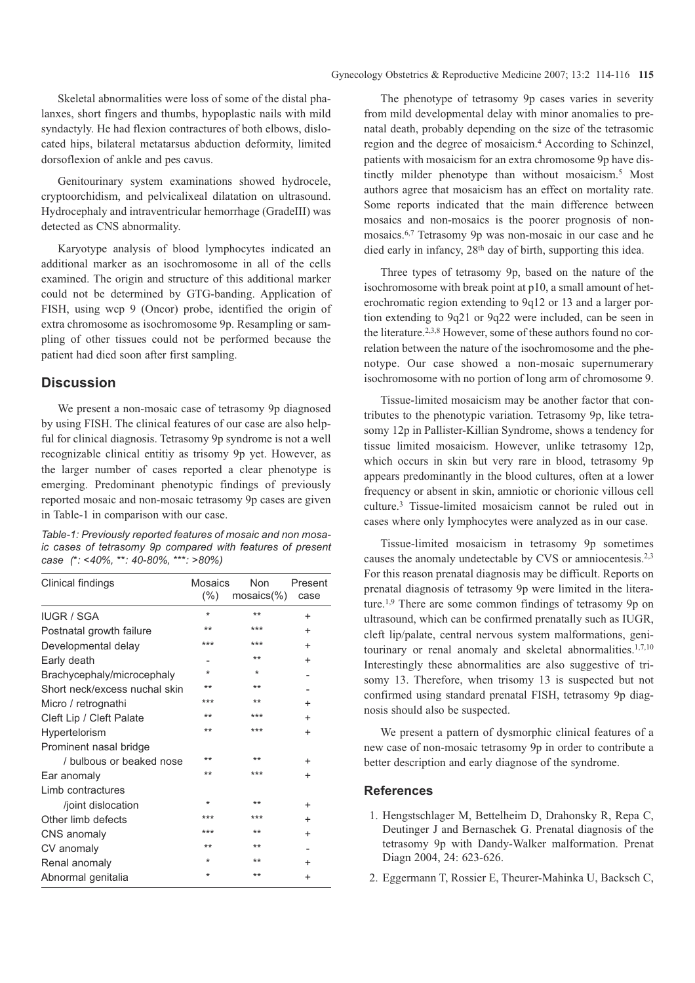Skeletal abnormalities were loss of some of the distal phalanxes, short fingers and thumbs, hypoplastic nails with mild syndactyly. He had flexion contractures of both elbows, dislocated hips, bilateral metatarsus abduction deformity, limited dorsoflexion of ankle and pes cavus.

Genitourinary system examinations showed hydrocele, cryptoorchidism, and pelvicalixeal dilatation on ultrasound. Hydrocephaly and intraventricular hemorrhage (GradeIII) was detected as CNS abnormality.

Karyotype analysis of blood lymphocytes indicated an additional marker as an isochromosome in all of the cells examined. The origin and structure of this additional marker could not be determined by GTG-banding. Application of FISH, using wcp 9 (Oncor) probe, identified the origin of extra chromosome as isochromosome 9p. Resampling or sampling of other tissues could not be performed because the patient had died soon after first sampling.

### **Discussion**

We present a non-mosaic case of tetrasomy 9p diagnosed by using FISH. The clinical features of our case are also helpful for clinical diagnosis. Tetrasomy 9p syndrome is not a well recognizable clinical entitiy as trisomy 9p yet. However, as the larger number of cases reported a clear phenotype is emerging. Predominant phenotypic findings of previously reported mosaic and non-mosaic tetrasomy 9p cases are given in Table-1 in comparison with our case.

*Table-1: Previously reported features of mosaic and non mosaic cases of tetrasomy 9p compared with features of present case (\*: <40%, \*\*: 40-80%, \*\*\*: >80%)*

| Clinical findings             | Mosaics<br>(% ) | <b>Non</b><br>$mosaics(\% )$ | Present<br>case |
|-------------------------------|-----------------|------------------------------|-----------------|
| IUGR / SGA                    | $\ast$          | $***$                        | ٠               |
| Postnatal growth failure      | $***$           | ***                          | ÷               |
| Developmental delay           | ***             | ***                          | ÷               |
| Early death                   |                 | $***$                        | ÷               |
| Brachycephaly/microcephaly    | $\star$         | $\star$                      |                 |
| Short neck/excess nuchal skin | $***$           | $***$                        |                 |
| Micro / retrognathi           | ***             | $***$                        | ٠               |
| Cleft Lip / Cleft Palate      | $***$           | ***                          | +               |
| Hypertelorism                 | $***$           | ***                          | +               |
| Prominent nasal bridge        |                 |                              |                 |
| / bulbous or beaked nose      | $***$           | $***$                        | ٠               |
| Ear anomaly                   | $***$           | ***                          | ÷               |
| Limb contractures             |                 |                              |                 |
| /joint dislocation            | $\ast$          | $***$                        | ÷               |
| Other limb defects            | ***             | ***                          | +               |
| CNS anomaly                   | ***             | $***$                        | +               |
| CV anomaly                    | $***$           | $***$                        |                 |
| Renal anomaly                 | $\ast$          | $***$                        | +               |
| Abnormal genitalia            | $\ast$          | $***$                        | +               |

The phenotype of tetrasomy 9p cases varies in severity from mild developmental delay with minor anomalies to prenatal death, probably depending on the size of the tetrasomic region and the degree of mosaicism.4 According to Schinzel, patients with mosaicism for an extra chromosome 9p have distinctly milder phenotype than without mosaicism.<sup>5</sup> Most authors agree that mosaicism has an effect on mortality rate. Some reports indicated that the main difference between mosaics and non-mosaics is the poorer prognosis of nonmosaics.6,7 Tetrasomy 9p was non-mosaic in our case and he died early in infancy, 28th day of birth, supporting this idea.

Three types of tetrasomy 9p, based on the nature of the isochromosome with break point at p10, a small amount of heterochromatic region extending to 9q12 or 13 and a larger portion extending to 9q21 or 9q22 were included, can be seen in the literature.<sup>2,3,8</sup> However, some of these authors found no correlation between the nature of the isochromosome and the phenotype. Our case showed a non-mosaic supernumerary isochromosome with no portion of long arm of chromosome 9.

Tissue-limited mosaicism may be another factor that contributes to the phenotypic variation. Tetrasomy 9p, like tetrasomy 12p in Pallister-Killian Syndrome, shows a tendency for tissue limited mosaicism. However, unlike tetrasomy 12p, which occurs in skin but very rare in blood, tetrasomy 9p appears predominantly in the blood cultures, often at a lower frequency or absent in skin, amniotic or chorionic villous cell culture.3 Tissue-limited mosaicism cannot be ruled out in cases where only lymphocytes were analyzed as in our case.

Tissue-limited mosaicism in tetrasomy 9p sometimes causes the anomaly undetectable by CVS or amniocentesis.2,3 For this reason prenatal diagnosis may be difficult. Reports on prenatal diagnosis of tetrasomy 9p were limited in the literature.1,9 There are some common findings of tetrasomy 9p on ultrasound, which can be confirmed prenatally such as IUGR, cleft lip/palate, central nervous system malformations, genitourinary or renal anomaly and skeletal abnormalities.<sup>1,7,10</sup> Interestingly these abnormalities are also suggestive of trisomy 13. Therefore, when trisomy 13 is suspected but not confirmed using standard prenatal FISH, tetrasomy 9p diagnosis should also be suspected.

We present a pattern of dysmorphic clinical features of a new case of non-mosaic tetrasomy 9p in order to contribute a better description and early diagnose of the syndrome.

#### **References**

- 1. Hengstschlager M, Bettelheim D, Drahonsky R, Repa C, Deutinger J and Bernaschek G. Prenatal diagnosis of the tetrasomy 9p with Dandy-Walker malformation. Prenat Diagn 2004, 24: 623-626.
- 2. Eggermann T, Rossier E, Theurer-Mahinka U, Backsch C,